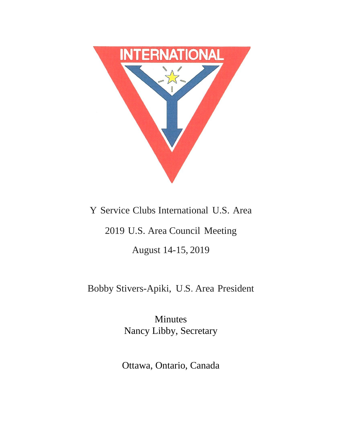

# Y Service Clubs International U.S. Area

# 2019 U.S. Area Council Meeting

August 14-15, 2019

# Bobby Stivers-Apiki, U.S. Area President

Minutes Nancy Libby, Secretary

Ottawa, Ontario, Canada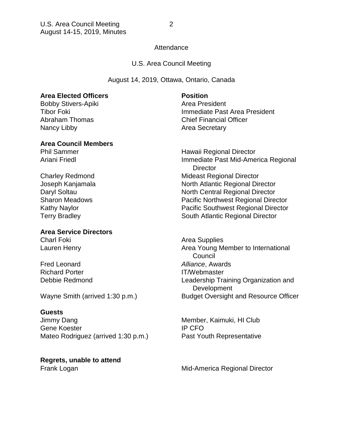# **Attendance**

# U.S. Area Council Meeting

August 14, 2019, Ottawa, Ontario, Canada

# **Area Elected Officers Position**

Bobby Stivers-Apiki **Area President** Nancy Libby **Area Secretary** 

### **Area Council Members**

# **Area Service Directors**

Charl Foki **Area Supplies** Area Supplies

Richard Porter **IT/Webmaster** 

# **Guests**

Jimmy Dang Member, Kaimuki, HI Club Gene Koester **IP CFO** Mateo Rodriguez (arrived 1:30 p.m.) Past Youth Representative

**Regrets, unable to attend**

Tibor Foki Immediate Past Area President Abraham Thomas Chief Financial Officer

Phil Sammer **Hawaii Regional Director** Ariani Friedl **Immediate Past Mid-America Regional Director** Charley Redmond Mideast Regional Director Joseph Kanjamala North Atlantic Regional Director Daryl Soltau North Central Regional Director Sharon Meadows Pacific Northwest Regional Director Kathy Naylor **National State Acids** Pacific Southwest Regional Director Terry Bradley **South Atlantic Regional Director** 

Lauren Henry **Area Young Member to International**  Council Fred Leonard *Alliance*, Awards Debbie Redmond Leadership Training Organization and **Development** Wayne Smith (arrived 1:30 p.m.) Budget Oversight and Resource Officer

Frank Logan **Frank Logan** Mid-America Regional Director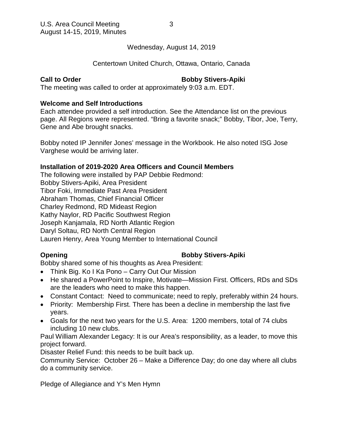Wednesday, August 14, 2019

# Centertown United Church, Ottawa, Ontario, Canada

# **Call to Order Bobby Stivers-Apiki**

The meeting was called to order at approximately 9:03 a.m. EDT.

# **Welcome and Self Introductions**

Each attendee provided a self introduction. See the Attendance list on the previous page. All Regions were represented. "Bring a favorite snack;" Bobby, Tibor, Joe, Terry, Gene and Abe brought snacks.

Bobby noted IP Jennifer Jones' message in the Workbook. He also noted ISG Jose Varghese would be arriving later.

# **Installation of 2019-2020 Area Officers and Council Members**

The following were installed by PAP Debbie Redmond: Bobby Stivers-Apiki, Area President Tibor Foki, Immediate Past Area President Abraham Thomas, Chief Financial Officer Charley Redmond, RD Mideast Region Kathy Naylor, RD Pacific Southwest Region Joseph Kanjamala, RD North Atlantic Region Daryl Soltau, RD North Central Region Lauren Henry, Area Young Member to International Council

# **Opening Community Community Community Bobby Stivers-Apiki**

Bobby shared some of his thoughts as Area President:

- Think Big. Ko I Ka Pono Carry Out Our Mission
- He shared a PowerPoint to Inspire, Motivate—Mission First. Officers, RDs and SDs are the leaders who need to make this happen.
- Constant Contact: Need to communicate; need to reply, preferably within 24 hours.
- Priority: Membership First. There has been a decline in membership the last five years.
- Goals for the next two years for the U.S. Area: 1200 members, total of 74 clubs including 10 new clubs.

Paul William Alexander Legacy: It is our Area's responsibility, as a leader, to move this project forward.

Disaster Relief Fund: this needs to be built back up.

Community Service: October 26 – Make a Difference Day; do one day where all clubs do a community service.

Pledge of Allegiance and Y's Men Hymn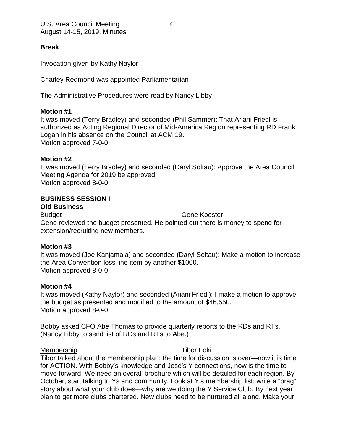# **Break**

Invocation given by Kathy Naylor

Charley Redmond was appointed Parliamentarian

The Administrative Procedures were read by Nancy Libby

# **Motion #1**

It was moved (Terry Bradley) and seconded (Phil Sammer): That Ariani Friedl is authorized as Acting Regional Director of Mid-America Region representing RD Frank Logan in his absence on the Council at ACM 19. Motion approved 7-0-0

# **Motion #2**

It was moved (Terry Bradley) and seconded (Daryl Soltau): Approve the Area Council Meeting Agenda for 2019 be approved. Motion approved 8-0-0

# **BUSINESS SESSION I**

## **Old Business**

Budget Gene Koester

Gene reviewed the budget presented. He pointed out there is money to spend for extension/recruiting new members.

# **Motion #3**

It was moved (Joe Kanjamala) and seconded (Daryl Soltau): Make a motion to increase the Area Convention loss line item by another \$1000. Motion approved 8-0-0

# **Motion #4**

It was moved (Kathy Naylor) and seconded (Ariani Friedl): I make a motion to approve the budget as presented and modified to the amount of \$46,550. Motion approved 8-0-0

Bobby asked CFO Abe Thomas to provide quarterly reports to the RDs and RTs. (Nancy Libby to send list of RDs and RTs to Abe.)

## Membership Tibor Foki

Tibor talked about the membership plan; the time for discussion is over—now it is time for ACTION. With Bobby's knowledge and Jose's Y connections, now is the time to move forward. We need an overall brochure which will be detailed for each region. By October, start talking to Ys and community. Look at Y's membership list; write a "brag" story about what your club does—why are we doing the Y Service Club. By next year plan to get more clubs chartered. New clubs need to be nurtured all along. Make your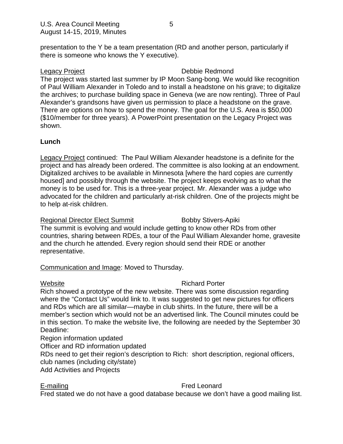presentation to the Y be a team presentation (RD and another person, particularly if there is someone who knows the Y executive).

# Legacy Project **Debbie Redmond**

The project was started last summer by IP Moon Sang-bong. We would like recognition of Paul William Alexander in Toledo and to install a headstone on his grave; to digitalize the archives; to purchase building space in Geneva (we are now renting). Three of Paul Alexander's grandsons have given us permission to place a headstone on the grave. There are options on how to spend the money. The goal for the U.S. Area is \$50,000 (\$10/member for three years). A PowerPoint presentation on the Legacy Project was shown.

# **Lunch**

Legacy Project continued: The Paul William Alexander headstone is a definite for the project and has already been ordered. The committee is also looking at an endowment. Digitalized archives to be available in Minnesota [where the hard copies are currently housed] and possibly through the website. The project keeps evolving as to what the money is to be used for. This is a three-year project. Mr. Alexander was a judge who advocated for the children and particularly at-risk children. One of the projects might be to help at-risk children.

Regional Director Elect Summit Bobby Stivers-Apiki The summit is evolving and would include getting to know other RDs from other countries, sharing between RDEs, a tour of the Paul William Alexander home, gravesite and the church he attended. Every region should send their RDE or another representative.

# Communication and Image: Moved to Thursday.

# Website **Richard Porter**

Rich showed a prototype of the new website. There was some discussion regarding where the "Contact Us" would link to. It was suggested to get new pictures for officers and RDs which are all similar—maybe in club shirts. In the future, there will be a member's section which would not be an advertised link. The Council minutes could be in this section. To make the website live, the following are needed by the September 30 Deadline:

Region information updated

Officer and RD information updated

RDs need to get their region's description to Rich: short description, regional officers, club names (including city/state)

Add Activities and Projects

# E-mailing **Fred Leonard**

Fred stated we do not have a good database because we don't have a good mailing list.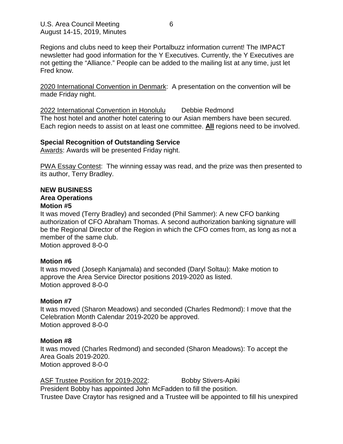Regions and clubs need to keep their Portalbuzz information current! The IMPACT newsletter had good information for the Y Executives. Currently, the Y Executives are not getting the "Alliance." People can be added to the mailing list at any time, just let Fred know.

2020 International Convention in Denmark: A presentation on the convention will be made Friday night.

2022 International Convention in Honolulu Debbie Redmond The host hotel and another hotel catering to our Asian members have been secured. Each region needs to assist on at least one committee. **All** regions need to be involved.

# **Special Recognition of Outstanding Service**

Awards: Awards will be presented Friday night.

PWA Essay Contest: The winning essay was read, and the prize was then presented to its author, Terry Bradley.

# **NEW BUSINESS**

# **Area Operations**

# **Motion #5**

It was moved (Terry Bradley) and seconded (Phil Sammer): A new CFO banking authorization of CFO Abraham Thomas. A second authorization banking signature will be the Regional Director of the Region in which the CFO comes from, as long as not a member of the same club.

Motion approved 8-0-0

# **Motion #6**

It was moved (Joseph Kanjamala) and seconded (Daryl Soltau): Make motion to approve the Area Service Director positions 2019-2020 as listed. Motion approved 8-0-0

# **Motion #7**

It was moved (Sharon Meadows) and seconded (Charles Redmond): I move that the Celebration Month Calendar 2019-2020 be approved. Motion approved 8-0-0

# **Motion #8**

It was moved (Charles Redmond) and seconded (Sharon Meadows): To accept the Area Goals 2019-2020. Motion approved 8-0-0

ASF Trustee Position for 2019-2022: Bobby Stivers-Apiki President Bobby has appointed John McFadden to fill the position. Trustee Dave Craytor has resigned and a Trustee will be appointed to fill his unexpired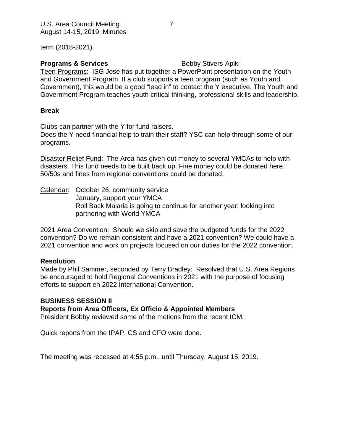term (2018-2021).

# **Programs & Services** Bobby Stivers-Apiki

Teen Programs: ISG Jose has put together a PowerPoint presentation on the Youth and Government Program. If a club supports a teen program (such as Youth and Government), this would be a good "lead in" to contact the Y executive. The Youth and Government Program teaches youth critical thinking, professional skills and leadership.

# **Break**

Clubs can partner with the Y for fund raisers.

Does the Y need financial help to train their staff? YSC can help through some of our programs.

Disaster Relief Fund: The Area has given out money to several YMCAs to help with disasters. This fund needs to be built back up. Fine money could be donated here. 50/50s and fines from regional conventions could be donated.

Calendar: October 26, community service January, support your YMCA Roll Back Malaria is going to continue for another year; looking into partnering with World YMCA

2021 Area Convention: Should we skip and save the budgeted funds for the 2022 convention? Do we remain consistent and have a 2021 convention? We could have a 2021 convention and work on projects focused on our duties for the 2022 convention.

# **Resolution**

Made by Phil Sammer, seconded by Terry Bradley: Resolved that U.S. Area Regions be encouraged to hold Regional Conventions in 2021 with the purpose of focusing efforts to support eh 2022 International Convention.

# **BUSINESS SESSION II**

# **Reports from Area Officers, Ex Officio & Appointed Members**

President Bobby reviewed some of the motions from the recent ICM.

Quick reports from the IPAP, CS and CFO were done.

The meeting was recessed at 4:55 p.m., until Thursday, August 15, 2019.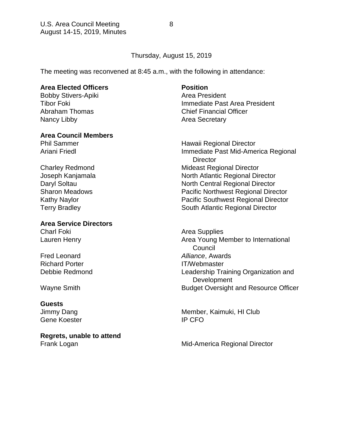# Thursday, August 15, 2019

The meeting was reconvened at 8:45 a.m., with the following in attendance:

# **Area Elected Officers Position**

Bobby Stivers-Apiki **Area President** Nancy Libby **Area Secretary** 

# **Area Council Members**

# **Area Service Directors**

Fred Leonard *Alliance*, Awards Richard Porter **IT/Webmaster** 

## **Guests**

Gene Koester **IP CFO** 

**Regrets, unable to attend**

Tibor Foki Immediate Past Area President Abraham Thomas Chief Financial Officer

Phil Sammer **Hawaii Regional Director** Ariani Friedl **Immediate Past Mid-America Regional Director** Charley Redmond **Mideast Regional Director** Joseph Kanjamala North Atlantic Regional Director Daryl Soltau North Central Regional Director Sharon Meadows Pacific Northwest Regional Director Kathy Naylor **National State Acids** Pacific Southwest Regional Director Terry Bradley **South Atlantic Regional Director** 

Charl Foki **Area Supplies** Area Supplies Lauren Henry **Area Young Member to International**  Council Debbie Redmond Leadership Training Organization and **Development** Wayne Smith **Budget Oversight and Resource Officer** 

Jimmy Dang Member, Kaimuki, HI Club

Frank Logan **Frank Logan** Mid-America Regional Director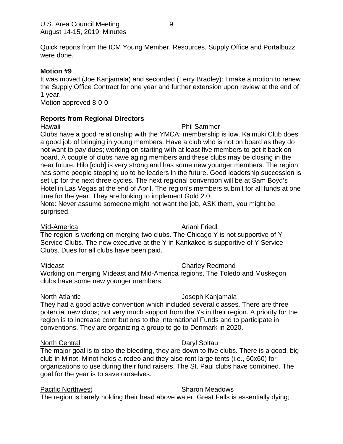Quick reports from the ICM Young Member, Resources, Supply Office and Portalbuzz, were done.

# **Motion #9**

It was moved (Joe Kanjamala) and seconded (Terry Bradley): I make a motion to renew the Supply Office Contract for one year and further extension upon review at the end of 1 year.

Motion approved 8-0-0

# **Reports from Regional Directors**

## Hawaii **Hawaii** Phil Sammer

Clubs have a good relationship with the YMCA; membership is low. Kaimuki Club does a good job of bringing in young members. Have a club who is not on board as they do not want to pay dues; working on starting with at least five members to get it back on board. A couple of clubs have aging members and these clubs may be closing in the near future. Hilo [club] is very strong and has some new younger members. The region has some people stepping up to be leaders in the future. Good leadership succession is set up for the next three cycles. The next regional convention will be at Sam Boyd's Hotel in Las Vegas at the end of April. The region's members submit for all funds at one time for the year. They are looking to implement Gold 2.0.

Note: Never assume someone might not want the job, ASK them, you might be surprised.

## Mid-America **Ariani Friedl**

The region is working on merging two clubs. The Chicago Y is not supportive of Y Service Clubs. The new executive at the Y in Kankakee is supportive of Y Service Clubs. Dues for all clubs have been paid.

# Mideast **Charley Redmond**

Working on merging Mideast and Mid-America regions. The Toledo and Muskegon clubs have some new younger members.

# North Atlantic **North Atlantic** Joseph Kanjamala

They had a good active convention which included several classes. There are three potential new clubs; not very much support from the Ys in their region. A priority for the region is to increase contributions to the International Funds and to participate in conventions. They are organizing a group to go to Denmark in 2020.

# North Central **Daryl Soltau**

The major goal is to stop the bleeding, they are down to five clubs. There is a good, big club in Minot. Minot holds a rodeo and they also rent large tents (i.e., 60x60) for organizations to use during their fund raisers. The St. Paul clubs have combined. The goal for the year is to save ourselves.

# Pacific Northwest **Sharon Meadows**

The region is barely holding their head above water. Great Falls is essentially dying;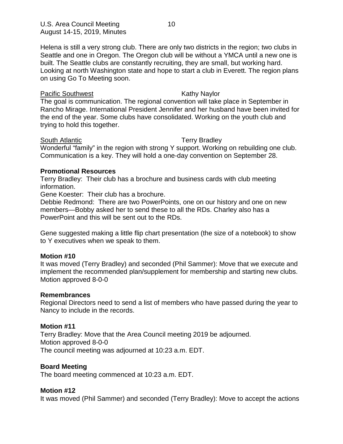Helena is still a very strong club. There are only two districts in the region; two clubs in Seattle and one in Oregon. The Oregon club will be without a YMCA until a new one is built. The Seattle clubs are constantly recruiting, they are small, but working hard. Looking at north Washington state and hope to start a club in Everett. The region plans on using Go To Meeting soon.

## Pacific Southwest **Example 20** Kathy Naylor

The goal is communication. The regional convention will take place in September in Rancho Mirage. International President Jennifer and her husband have been invited for the end of the year. Some clubs have consolidated. Working on the youth club and trying to hold this together.

## South Atlantic **Terry Bradley**

Wonderful "family" in the region with strong Y support. Working on rebuilding one club. Communication is a key. They will hold a one-day convention on September 28.

# **Promotional Resources**

Terry Bradley: Their club has a brochure and business cards with club meeting information.

Gene Koester: Their club has a brochure.

Debbie Redmond: There are two PowerPoints, one on our history and one on new members—Bobby asked her to send these to all the RDs. Charley also has a PowerPoint and this will be sent out to the RDs.

Gene suggested making a little flip chart presentation (the size of a notebook) to show to Y executives when we speak to them.

## **Motion #10**

It was moved (Terry Bradley) and seconded (Phil Sammer): Move that we execute and implement the recommended plan/supplement for membership and starting new clubs. Motion approved 8-0-0

## **Remembrances**

Regional Directors need to send a list of members who have passed during the year to Nancy to include in the records.

## **Motion #11**

Terry Bradley: Move that the Area Council meeting 2019 be adjourned. Motion approved 8-0-0 The council meeting was adjourned at 10:23 a.m. EDT.

## **Board Meeting**

The board meeting commenced at 10:23 a.m. EDT.

## **Motion #12**

It was moved (Phil Sammer) and seconded (Terry Bradley): Move to accept the actions